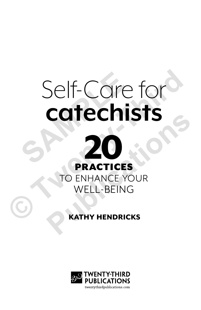# Self-Care for<br> **catechists<br>
20 catechists** Self-Care for<br> **Catechists<br>
PRACTICES**<br>
TO ENHANCE YOUR<br>
WELL-BEING<br>
CONTAINT HENDRICKS



## KATHY HENDRICKS

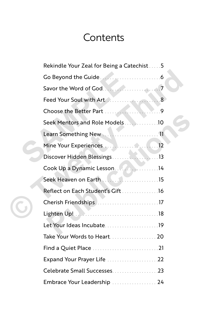# **Contents**

|  | Rekindle Your Zeal for Being a Catechist5 |  |
|--|-------------------------------------------|--|
|  | Go Beyond the Guide                       |  |
|  | Savor the Word of God.                    |  |
|  |                                           |  |
|  | Choose the Better Part 9                  |  |
|  | Seek Mentors and Role Models10            |  |
|  | Learn Something New 11                    |  |
|  |                                           |  |
|  |                                           |  |
|  | Cook Up a Dynamic Lesson. 14              |  |
|  | Seek Heaven on Earth 15                   |  |
|  | Reflect on Each Student's Gift16          |  |
|  |                                           |  |
|  |                                           |  |
|  | Let Your Ideas Incubate19                 |  |
|  | Take Your Words to Heart 20               |  |
|  |                                           |  |
|  |                                           |  |
|  | Celebrate Small Successes23               |  |
|  | Embrace Your Leadership  24               |  |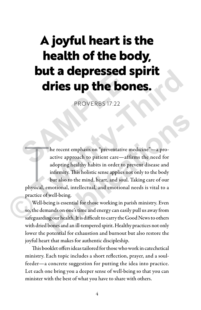# **A joyful heart is the health of the body, but a depressed spirit dries up the bones. Sure de la distrituy de la distribución de la distrituy de la distrituy de la distrituy de la distrituy de la distrituy de la distrituy de la distrituy de la distrituy de la distrituy de la distrituy de la distrituy de la**

PROVERBS 17:22

he recent emphasis on "preventative medicine"—a pro-<br>active approach to patient care—affirms the need for<br>adopting healthy habits in order to prevent disease and<br>infirmity. This holistic sense applies not only to the body<br> he recent emphasis on "preventative medicine"—a proactive approach to patient care—affirms the need for adopting healthy habits in order to prevent disease and infirmity. This holistic sense applies not only to the body but also to the mind, heart, and soul. Taking care of our practice of well-being. **CHITE SUP THE BONES.**<br>
PROVERBS 17:22<br>
PROVERBS 17:22<br>
he recent emphasis on "preventative medicine"—a pro-<br>
active approach to patient care—affirms the need for<br>
adopting healthly habits in order to prevent disease and<br> **Publication Publication Publication Publication Publication Publication Publication Publication Publication Publication Publication Publication Publication Publication Publication Publication** 

Well-being is essential for those working in parish ministry. Even so, the demands on one's time and energy can easily pull us away from safeguarding our health. It is difficult to carry the Good News to others with dried bones and an ill-tempered spirit. Healthy practices not only lower the potential for exhaustion and burnout but also restore the joyful heart that makes for authentic discipleship.

This booklet offers ideas tailored for those who work in catechetical ministry. Each topic includes a short reflection, prayer, and a soulfeeder—a concrete suggestion for putting the idea into practice. Let each one bring you a deeper sense of well-being so that you can minister with the best of what you have to share with others.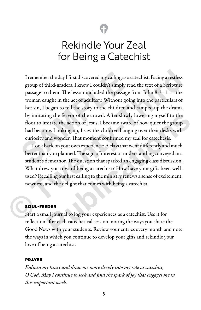# Rekindle Your Zeal for Being a Catechist

I remember the day I first discovered my calling as a catechist. Facing a restless group of third-graders, I knew I couldn't simply read the text of a Scripture passage to them. The lesson included the passage from John 8:3–11—the woman caught in the act of adultery. Without going into the particulars of her sin, I began to tell the story to the children and ramped up the drama by imitating the fervor of the crowd. After slowly lowering myself to the floor to imitate the action of Jesus, I became aware of how quiet the group had become. Looking up, I saw the children hanging over their desks with curiosity and wonder. That moment confirmed my zeal for catechesis. I remember the day I first discovered my calling as a carp of third-graders, I knew I couldn't simply rea<br>passage to them. The lesson included the passage f<br>woman caught in the act of adultery. Without goin<br>her sin, I bega I remember the day I first discovered my calling as a catechist. Facing a restless<br>group of third-graders, I knew I couldn't simply read the text of a Scripture<br>passage to them. The lesson included the passage from John 8:

Look back on your own experience: A class that went differently and much better than you planned. The sign of interest or understanding conveyed in a student's demeanor. The question that sparked an engaging class discussion. What drew you toward being a catechist? How have your gifts been wellused? Recalling our first calling to the ministry renews a sense of excitement, newness, and the delight that comes with being a catechist. ng the fervor of the crowd. After slowly lowering myself to the<br>nitate the action of Jesus, I became aware of how quiet the group<br>me. Looking up, I saw the children hanging over their desks with<br>md wonder. That moment conf

### SOUL-FEEDER

Start a small journal to log your experiences as a catechist. Use it for reflection after each catechetical session, noting the ways you share the Good News with your students. Review your entries every month and note the ways in which you continue to develop your gifts and rekindle your love of being a catechist.

#### PRAYER

*Enliven my heart and draw me more deeply into my role as catechist, O God. May I continue to seek and find the spark of joy that engages me in this important work.*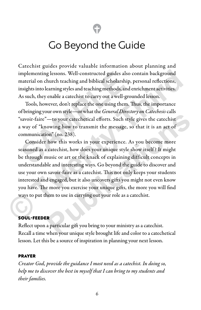# Go Beyond the Guide

Catechist guides provide valuable information about planning and implementing lessons. Well-constructed guides also contain background material on church teaching and biblical scholarship, personal reflections, insights into learning styles and teaching methods, and enrichment activities. As such, they enable a catechist to carry out a well-grounded lesson.

Tools, however, don't replace the one using them. Thus, the importance of bringing your own style—or what the *General Directory on Catechesis* calls "savoir-faire"—to your catechetical efforts. Such style gives the catechist a way of "knowing how to transmit the message, so that it is an act of communication" (no. 238). mplementing lessons. Well-constructed guides also consternate and biblical scholarship, paights into learning styles and teaching methods, and expands the same of the same of the same of the same of the same of the same of

Consider how this works in your experience. As you become more seasoned as a catechist, how does your unique style show itself ? It might be through music or art or the knack of explaining difficult concepts in understandable and interesting ways. Go beyond the guide to discover and use your own savoir-faire as a catechist. This not only keeps your students interested and engaged, but it also uncovers gifts you might not even know you have. The more you exercise your unique gifts, the more you will find ways to put them to use in carrying out your role as a catechist. implementing lessons. Well-constructed guides also contain background<br>material on church teaching and biblical scholarship, personal reflections,<br>insights into learning styles and teaching methods, and enrichment activitie **Publication Publication Publication Publication Publication Publication Publication Publication Publication Publication Publication Publication Publication Publication Publication Publication** 

#### SOUL-FEEDER

Reflect upon a particular gift you bring to your ministry as a catechist. Recall a time when your unique style brought life and color to a catechetical lesson. Let this be a source of inspiration in planning your next lesson.

#### PRAYER

*Creator God, provide the guidance I most need as a catechist. In doing so, help me to discover the best in myself that I can bring to my students and their families.*